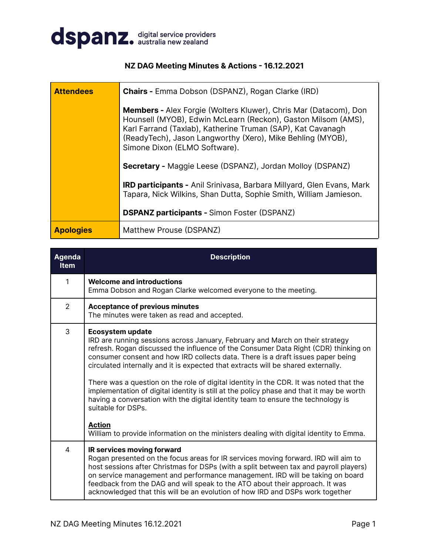

### **NZ DAG Meeting Minutes & Actions - 16.12.2021**

| <b>Attendees</b> | <b>Chairs - Emma Dobson (DSPANZ), Rogan Clarke (IRD)</b>                                                                                                                                                                                                                                               |
|------------------|--------------------------------------------------------------------------------------------------------------------------------------------------------------------------------------------------------------------------------------------------------------------------------------------------------|
|                  | <b>Members -</b> Alex Forgie (Wolters Kluwer), Chris Mar (Datacom), Don<br>Hounsell (MYOB), Edwin McLearn (Reckon), Gaston Milsom (AMS),<br>Karl Farrand (Taxlab), Katherine Truman (SAP), Kat Cavanagh<br>(ReadyTech), Jason Langworthy (Xero), Mike Behling (MYOB),<br>Simone Dixon (ELMO Software). |
|                  | <b>Secretary - Maggie Leese (DSPANZ), Jordan Molloy (DSPANZ)</b>                                                                                                                                                                                                                                       |
|                  | IRD participants - Anil Srinivasa, Barbara Millyard, Glen Evans, Mark<br>Tapara, Nick Wilkins, Shan Dutta, Sophie Smith, William Jamieson.                                                                                                                                                             |
|                  | <b>DSPANZ participants - Simon Foster (DSPANZ)</b>                                                                                                                                                                                                                                                     |
| <b>Apologies</b> | Matthew Prouse (DSPANZ)                                                                                                                                                                                                                                                                                |

| <b>Agenda</b><br><b>Item</b> | <b>Description</b>                                                                                                                                                                                                                                                                                                                                                                                                                                                                                                                                                                                                                                                                                                                                                                 |
|------------------------------|------------------------------------------------------------------------------------------------------------------------------------------------------------------------------------------------------------------------------------------------------------------------------------------------------------------------------------------------------------------------------------------------------------------------------------------------------------------------------------------------------------------------------------------------------------------------------------------------------------------------------------------------------------------------------------------------------------------------------------------------------------------------------------|
| 1                            | <b>Welcome and introductions</b><br>Emma Dobson and Rogan Clarke welcomed everyone to the meeting.                                                                                                                                                                                                                                                                                                                                                                                                                                                                                                                                                                                                                                                                                 |
| 2                            | <b>Acceptance of previous minutes</b><br>The minutes were taken as read and accepted.                                                                                                                                                                                                                                                                                                                                                                                                                                                                                                                                                                                                                                                                                              |
| 3                            | <b>Ecosystem update</b><br>IRD are running sessions across January, February and March on their strategy<br>refresh. Rogan discussed the influence of the Consumer Data Right (CDR) thinking on<br>consumer consent and how IRD collects data. There is a draft issues paper being<br>circulated internally and it is expected that extracts will be shared externally.<br>There was a question on the role of digital identity in the CDR. It was noted that the<br>implementation of digital identity is still at the policy phase and that it may be worth<br>having a conversation with the digital identity team to ensure the technology is<br>suitable for DSPs.<br><b>Action</b><br>William to provide information on the ministers dealing with digital identity to Emma. |
| 4                            | IR services moving forward<br>Rogan presented on the focus areas for IR services moving forward. IRD will aim to<br>host sessions after Christmas for DSPs (with a split between tax and payroll players)<br>on service management and performance management. IRD will be taking on board<br>feedback from the DAG and will speak to the ATO about their approach. It was<br>acknowledged that this will be an evolution of how IRD and DSPs work together                                                                                                                                                                                                                                                                                                                        |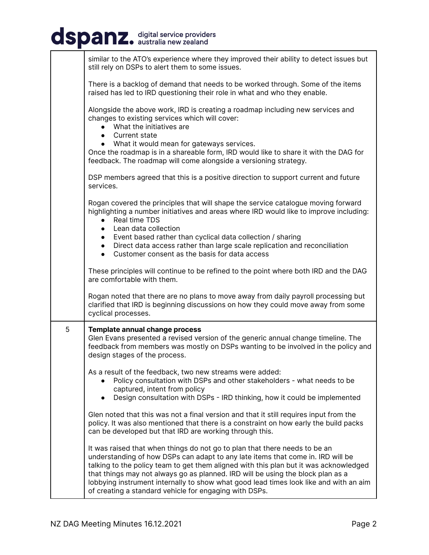## dspanz. digital service providers

|   | similar to the ATO's experience where they improved their ability to detect issues but<br>still rely on DSPs to alert them to some issues.                                                                                                                                                                                                                                                                                                                                                   |
|---|----------------------------------------------------------------------------------------------------------------------------------------------------------------------------------------------------------------------------------------------------------------------------------------------------------------------------------------------------------------------------------------------------------------------------------------------------------------------------------------------|
|   | There is a backlog of demand that needs to be worked through. Some of the items<br>raised has led to IRD questioning their role in what and who they enable.                                                                                                                                                                                                                                                                                                                                 |
|   | Alongside the above work, IRD is creating a roadmap including new services and<br>changes to existing services which will cover:<br>What the initiatives are<br>Current state<br>$\bullet$<br>• What it would mean for gateways services.<br>Once the roadmap is in a shareable form, IRD would like to share it with the DAG for<br>feedback. The roadmap will come alongside a versioning strategy.                                                                                        |
|   | DSP members agreed that this is a positive direction to support current and future<br>services.                                                                                                                                                                                                                                                                                                                                                                                              |
|   | Rogan covered the principles that will shape the service catalogue moving forward<br>highlighting a number initiatives and areas where IRD would like to improve including:<br>Real time TDS<br>$\bullet$<br>Lean data collection<br>$\bullet$<br>Event based rather than cyclical data collection / sharing<br>$\bullet$<br>Direct data access rather than large scale replication and reconciliation<br>$\bullet$<br>Customer consent as the basis for data access<br>$\bullet$            |
|   | These principles will continue to be refined to the point where both IRD and the DAG<br>are comfortable with them.                                                                                                                                                                                                                                                                                                                                                                           |
|   | Rogan noted that there are no plans to move away from daily payroll processing but<br>clarified that IRD is beginning discussions on how they could move away from some<br>cyclical processes.                                                                                                                                                                                                                                                                                               |
| 5 | Template annual change process<br>Glen Evans presented a revised version of the generic annual change timeline. The<br>feedback from members was mostly on DSPs wanting to be involved in the policy and<br>design stages of the process.                                                                                                                                                                                                                                                    |
|   | As a result of the feedback, two new streams were added:<br>Policy consultation with DSPs and other stakeholders - what needs to be<br>captured, intent from policy<br>Design consultation with DSPs - IRD thinking, how it could be implemented<br>$\bullet$                                                                                                                                                                                                                                |
|   | Glen noted that this was not a final version and that it still requires input from the<br>policy. It was also mentioned that there is a constraint on how early the build packs<br>can be developed but that IRD are working through this.                                                                                                                                                                                                                                                   |
|   | It was raised that when things do not go to plan that there needs to be an<br>understanding of how DSPs can adapt to any late items that come in. IRD will be<br>talking to the policy team to get them aligned with this plan but it was acknowledged<br>that things may not always go as planned. IRD will be using the block plan as a<br>lobbying instrument internally to show what good lead times look like and with an aim<br>of creating a standard vehicle for engaging with DSPs. |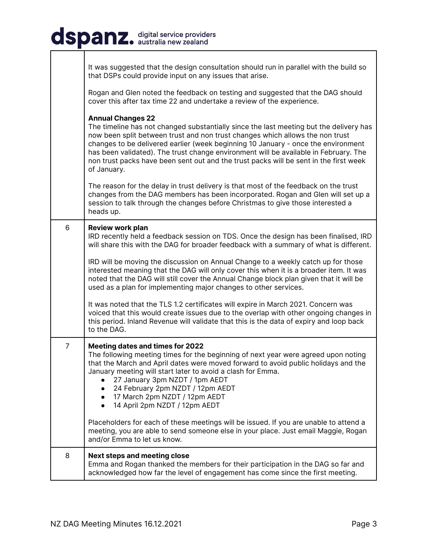# dspanz. digital service providers

|                | It was suggested that the design consultation should run in parallel with the build so<br>that DSPs could provide input on any issues that arise.                                                                                                                                                                                                                                                                                                                                        |
|----------------|------------------------------------------------------------------------------------------------------------------------------------------------------------------------------------------------------------------------------------------------------------------------------------------------------------------------------------------------------------------------------------------------------------------------------------------------------------------------------------------|
|                | Rogan and Glen noted the feedback on testing and suggested that the DAG should<br>cover this after tax time 22 and undertake a review of the experience.                                                                                                                                                                                                                                                                                                                                 |
|                | <b>Annual Changes 22</b><br>The timeline has not changed substantially since the last meeting but the delivery has<br>now been split between trust and non trust changes which allows the non trust<br>changes to be delivered earlier (week beginning 10 January - once the environment<br>has been validated). The trust change environment will be available in February. The<br>non trust packs have been sent out and the trust packs will be sent in the first week<br>of January. |
|                | The reason for the delay in trust delivery is that most of the feedback on the trust<br>changes from the DAG members has been incorporated. Rogan and Glen will set up a<br>session to talk through the changes before Christmas to give those interested a<br>heads up.                                                                                                                                                                                                                 |
| 6              | <b>Review work plan</b><br>IRD recently held a feedback session on TDS. Once the design has been finalised, IRD<br>will share this with the DAG for broader feedback with a summary of what is different.                                                                                                                                                                                                                                                                                |
|                | IRD will be moving the discussion on Annual Change to a weekly catch up for those<br>interested meaning that the DAG will only cover this when it is a broader item. It was<br>noted that the DAG will still cover the Annual Change block plan given that it will be<br>used as a plan for implementing major changes to other services.                                                                                                                                                |
|                | It was noted that the TLS 1.2 certificates will expire in March 2021. Concern was<br>voiced that this would create issues due to the overlap with other ongoing changes in<br>this period. Inland Revenue will validate that this is the data of expiry and loop back<br>to the DAG.                                                                                                                                                                                                     |
| $\overline{7}$ | Meeting dates and times for 2022<br>The following meeting times for the beginning of next year were agreed upon noting<br>that the March and April dates were moved forward to avoid public holidays and the<br>January meeting will start later to avoid a clash for Emma.<br>27 January 3pm NZDT / 1pm AEDT<br>24 February 2pm NZDT / 12pm AEDT<br>• 17 March 2pm NZDT / 12pm AEDT<br>14 April 2pm NZDT / 12pm AEDT                                                                    |
|                | Placeholders for each of these meetings will be issued. If you are unable to attend a<br>meeting, you are able to send someone else in your place. Just email Maggie, Rogan<br>and/or Emma to let us know.                                                                                                                                                                                                                                                                               |
| 8              | <b>Next steps and meeting close</b><br>Emma and Rogan thanked the members for their participation in the DAG so far and<br>acknowledged how far the level of engagement has come since the first meeting.                                                                                                                                                                                                                                                                                |